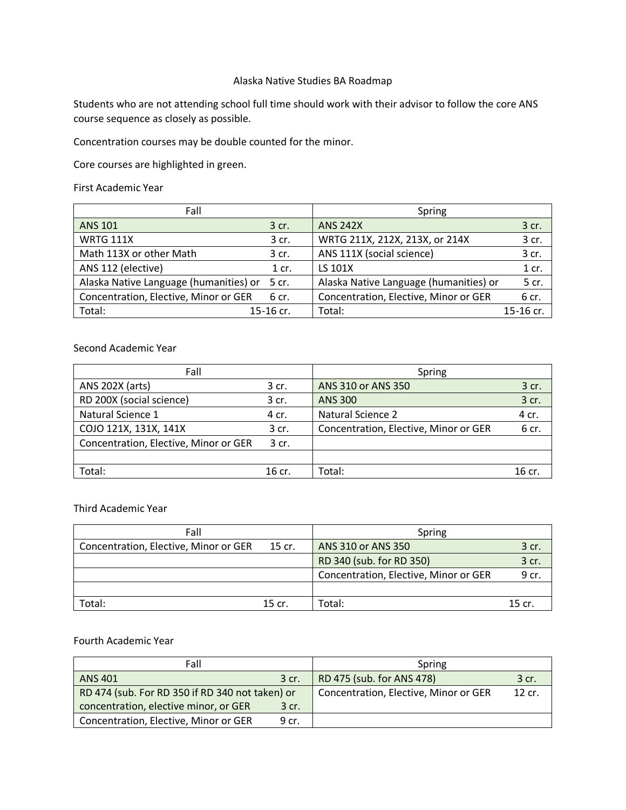## Alaska Native Studies BA Roadmap

Students who are not attending school full time should work with their advisor to follow the core ANS course sequence as closely as possible.

Concentration courses may be double counted for the minor.

Core courses are highlighted in green.

First Academic Year

| Fall                                   |           | Spring                                 |             |
|----------------------------------------|-----------|----------------------------------------|-------------|
| <b>ANS 101</b>                         | 3 cr.     | <b>ANS 242X</b>                        | 3 cr.       |
| <b>WRTG 111X</b>                       | 3 cr.     | WRTG 211X, 212X, 213X, or 214X         | 3 cr.       |
| Math 113X or other Math                | 3 cr.     | ANS 111X (social science)              | 3 cr.       |
| ANS 112 (elective)                     | $1$ cr.   | LS 101X                                | $1$ cr.     |
| Alaska Native Language (humanities) or | 5 cr.     | Alaska Native Language (humanities) or | 5 cr.       |
| Concentration, Elective, Minor or GER  | 6 cr.     | Concentration, Elective, Minor or GER  | 6 cr.       |
| Total:                                 | 15-16 cr. | Total:                                 | $15-16$ cr. |

## Second Academic Year

| Fall                                  |        | Spring                                |        |
|---------------------------------------|--------|---------------------------------------|--------|
| ANS 202X (arts)                       | 3 cr.  | ANS 310 or ANS 350                    | 3 cr.  |
| RD 200X (social science)              | 3 cr.  | <b>ANS 300</b>                        | 3 cr.  |
| Natural Science 1                     | 4 cr.  | Natural Science 2                     | 4 cr.  |
| COJO 121X, 131X, 141X                 | 3 cr.  | Concentration, Elective, Minor or GER | 6 cr.  |
| Concentration, Elective, Minor or GER | 3 cr.  |                                       |        |
|                                       |        |                                       |        |
| Total:                                | 16 cr. | Total:                                | 16 cr. |

## Third Academic Year

| Fall                                  |        | Spring                                |        |
|---------------------------------------|--------|---------------------------------------|--------|
| Concentration, Elective, Minor or GER | 15 cr. | ANS 310 or ANS 350                    | 3 cr.  |
|                                       |        | RD 340 (sub. for RD 350)              | 3 cr.  |
|                                       |        | Concentration, Elective, Minor or GER | 9 cr.  |
|                                       |        |                                       |        |
| Total:                                | 15 cr. | Total:                                | 15 cr. |

## Fourth Academic Year

| Fall                                            |       | Spring                                |        |
|-------------------------------------------------|-------|---------------------------------------|--------|
| <b>ANS 401</b>                                  | 3 cr. | RD 475 (sub. for ANS 478)             | 3 cr.  |
| RD 474 (sub. For RD 350 if RD 340 not taken) or |       | Concentration, Elective, Minor or GER | 12 cr. |
| concentration, elective minor, or GER           | 3 cr. |                                       |        |
| Concentration, Elective, Minor or GER           | 9 cr. |                                       |        |